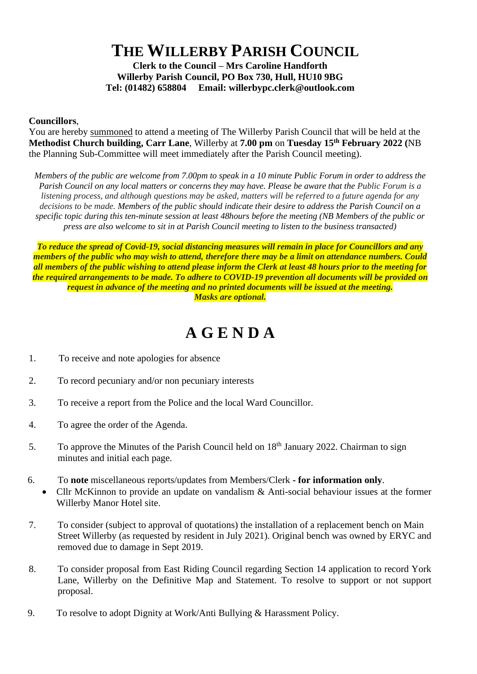## **THE WILLERBY PARISH COUNCIL**

**Clerk to the Council – Mrs Caroline Handforth Willerby Parish Council, PO Box 730, Hull, HU10 9BG Tel: (01482) 658804 Email: willerbypc.clerk@outlook.com**

## **Councillors**,

You are hereby summoned to attend a meeting of The Willerby Parish Council that will be held at the **Methodist Church building, Carr Lane**, Willerby at **7.00 pm** on **Tuesday 15th February 2022 (**NB the Planning Sub-Committee will meet immediately after the Parish Council meeting).

*Members of the public are welcome from 7.00pm to speak in a 10 minute Public Forum in order to address the Parish Council on any local matters or concerns they may have. Please be aware that the Public Forum is a listening process, and although questions may be asked, matters will be referred to a future agenda for any decisions to be made. Members of the public should indicate their desire to address the Parish Council on a specific topic during this ten-minute session at least 48hours before the meeting (NB Members of the public or press are also welcome to sit in at Parish Council meeting to listen to the business transacted)* 

*To reduce the spread of Covid-19, social distancing measures will remain in place for Councillors and any members of the public who may wish to attend, therefore there may be a limit on attendance numbers. Could all members of the public wishing to attend please inform the Clerk at least 48 hours prior to the meeting for the required arrangements to be made. To adhere to COVID-19 prevention all documents will be provided on request in advance of the meeting and no printed documents will be issued at the meeting. Masks are optional.*

## **A G E N D A**

- 1. To receive and note apologies for absence
- 2. To record pecuniary and/or non pecuniary interests
- 3. To receive a report from the Police and the local Ward Councillor.
- 4. To agree the order of the Agenda.
- 5. To approve the Minutes of the Parish Council held on 18<sup>th</sup> January 2022. Chairman to sign minutes and initial each page.
- 6. To **note** miscellaneous reports/updates from Members/Clerk **- for information only**.
	- Cllr McKinnon to provide an update on vandalism & Anti-social behaviour issues at the former Willerby Manor Hotel site.
- 7. To consider (subject to approval of quotations) the installation of a replacement bench on Main Street Willerby (as requested by resident in July 2021). Original bench was owned by ERYC and removed due to damage in Sept 2019.
- 8. To consider proposal from East Riding Council regarding Section 14 application to record York Lane, Willerby on the Definitive Map and Statement. To resolve to support or not support proposal.
- 9. To resolve to adopt Dignity at Work/Anti Bullying & Harassment Policy.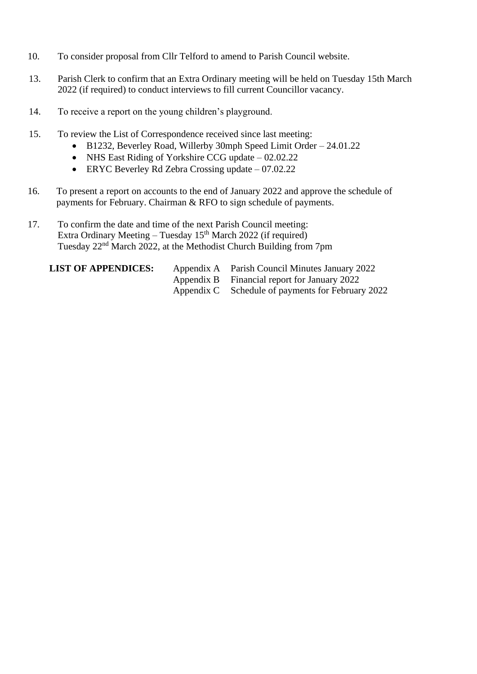- 10. To consider proposal from Cllr Telford to amend to Parish Council website.
- 13. Parish Clerk to confirm that an Extra Ordinary meeting will be held on Tuesday 15th March 2022 (if required) to conduct interviews to fill current Councillor vacancy.
- 14. To receive a report on the young children's playground.
- 15. To review the List of Correspondence received since last meeting:
	- B1232, Beverley Road, Willerby 30mph Speed Limit Order 24.01.22
	- NHS East Riding of Yorkshire CCG update 02.02.22
	- ERYC Beverley Rd Zebra Crossing update 07.02.22
- 16. To present a report on accounts to the end of January 2022 and approve the schedule of payments for February. Chairman & RFO to sign schedule of payments.
- 17. To confirm the date and time of the next Parish Council meeting: Extra Ordinary Meeting – Tuesday  $15<sup>th</sup>$  March 2022 (if required) Tuesday 22nd March 2022, at the Methodist Church Building from 7pm

**LIST OF APPENDICES:** Appendix A Parish Council Minutes January 2022 Appendix B Financial report for January 2022 Appendix C Schedule of payments for February 2022